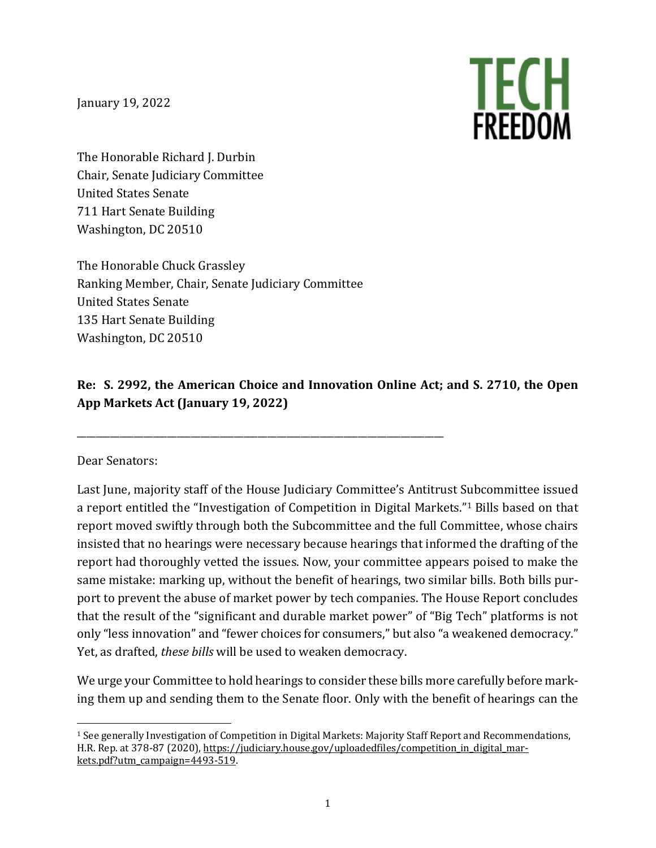January 19, 2022



The Honorable Richard J. Durbin Chair, Senate Judiciary Committee United States Senate 711 Hart Senate Building Washington, DC 20510

The Honorable Chuck Grassley Ranking Member, Chair, Senate Judiciary Committee United States Senate 135 Hart Senate Building Washington, DC 20510

\_\_\_\_\_\_\_\_\_\_\_\_\_\_\_\_\_\_\_\_\_\_\_\_\_\_\_\_\_\_\_\_\_\_\_\_\_\_\_\_\_\_\_\_\_\_\_\_\_\_\_\_\_\_\_\_\_\_\_\_\_\_\_\_\_\_\_\_\_\_\_\_\_\_\_\_\_

#### **Re: S. 2992, the American Choice and Innovation Online Act; and S. 2710, the Open App Markets Act (January 19, 2022)**

Dear Senators:

Last June, majority staff of the House Judiciary Committee's Antitrust Subcommittee issued a report entitled the "Investigation of Competition in Digital Markets.["1](#page-0-0) Bills based on that report moved swiftly through both the Subcommittee and the full Committee, whose chairs insisted that no hearings were necessary because hearings that informed the drafting of the report had thoroughly vetted the issues. Now, your committee appears poised to make the same mistake: marking up, without the benefit of hearings, two similar bills. Both bills purport to prevent the abuse of market power by tech companies. The House Report concludes that the result of the "significant and durable market power" of "Big Tech" platforms is not only "less innovation" and "fewer choices for consumers," but also "a weakened democracy." Yet, as drafted, *these bills* will be used to weaken democracy.

We urge your Committee to hold hearings to consider these bills more carefully before marking them up and sending them to the Senate floor. Only with the benefit of hearings can the

<span id="page-0-0"></span><sup>1</sup> See generally Investigation of Competition in Digital Markets: Majority Staff Report and Recommendations, H.R. Rep. at 378-87 (2020), https://judiciary.house.gov/uploadedfiles/competition in digital mar[kets.pdf?utm\\_campaign=4493-519.](https://judiciary.house.gov/uploadedfiles/competition_in_digital_markets.pdf?utm_campaign=4493-519)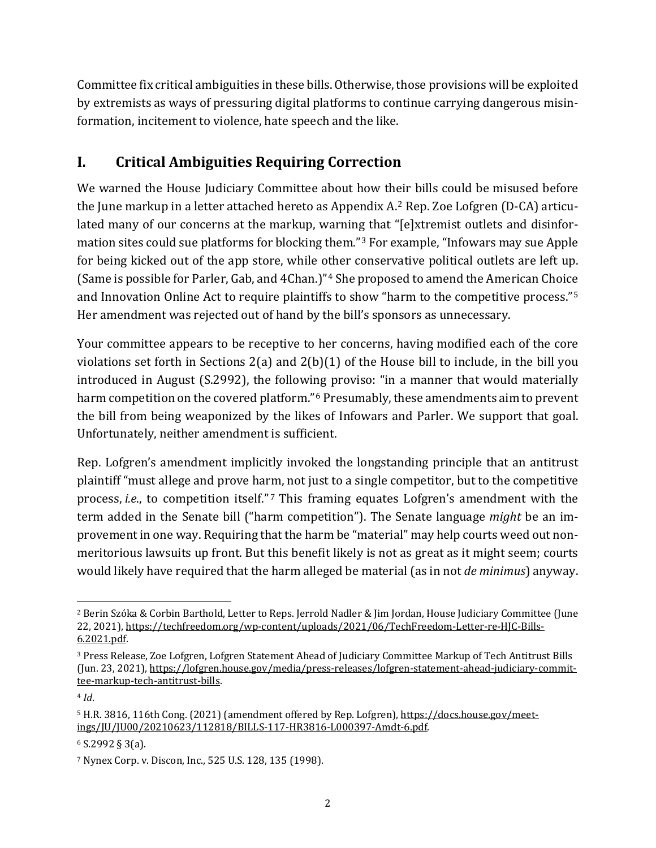Committee fix critical ambiguities in these bills. Otherwise, those provisions will be exploited by extremists as ways of pressuring digital platforms to continue carrying dangerous misinformation, incitement to violence, hate speech and the like.

# **I. Critical Ambiguities Requiring Correction**

We warned the House Judiciary Committee about how their bills could be misused before the June markup in a letter attached hereto as Appendix A.[2](#page-1-0) Rep. Zoe Lofgren (D-CA) articulated many of our concerns at the markup, warning that "[e]xtremist outlets and disinformation sites could sue platforms for blocking them."[3](#page-1-1) For example, "Infowars may sue Apple for being kicked out of the app store, while other conservative political outlets are left up. (Same is possible for Parler, Gab, and 4Chan.)"[4](#page-1-2) She proposed to amend the American Choice and Innovation Online Act to require plaintiffs to show "harm to the competitive process."[5](#page-1-3) Her amendment was rejected out of hand by the bill's sponsors as unnecessary.

Your committee appears to be receptive to her concerns, having modified each of the core violations set forth in Sections 2(a) and 2(b)(1) of the House bill to include, in the bill you introduced in August (S.2992), the following proviso: "in a manner that would materially harm competition on the covered platform."<sup>[6](#page-1-4)</sup> Presumably, these amendments aim to prevent the bill from being weaponized by the likes of Infowars and Parler. We support that goal. Unfortunately, neither amendment is sufficient.

Rep. Lofgren's amendment implicitly invoked the longstanding principle that an antitrust plaintiff "must allege and prove harm, not just to a single competitor, but to the competitive process, *i.e.*, to competition itself."<sup>[7](#page-1-5)</sup> This framing equates Lofgren's amendment with the term added in the Senate bill ("harm competition"). The Senate language *might* be an improvement in one way. Requiring that the harm be "material" may help courts weed out nonmeritorious lawsuits up front. But this benefit likely is not as great as it might seem; courts would likely have required that the harm alleged be material (as in not *de minimus*) anyway.

<span id="page-1-0"></span><sup>2</sup> Berin Szóka & Corbin Barthold, Letter to Reps. Jerrold Nadler & Jim Jordan, House Judiciary Committee (June 22, 2021)[, https://techfreedom.org/wp-content/uploads/2021/06/TechFreedom-Letter-re-HJC-Bills-](https://techfreedom.org/wp-content/uploads/2021/06/TechFreedom-Letter-re-HJC-Bills-6.2021.pdf)[6.2021.pdf.](https://techfreedom.org/wp-content/uploads/2021/06/TechFreedom-Letter-re-HJC-Bills-6.2021.pdf)

<span id="page-1-1"></span><sup>3</sup> Press Release, Zoe Lofgren, Lofgren Statement Ahead of Judiciary Committee Markup of Tech Antitrust Bills (Jun. 23, 2021), [https://lofgren.house.gov/media/press-releases/lofgren-statement-ahead-judiciary-commit](https://lofgren.house.gov/media/press-releases/lofgren-statement-ahead-judiciary-committee-markup-tech-antitrust-bills)[tee-markup-tech-antitrust-bills.](https://lofgren.house.gov/media/press-releases/lofgren-statement-ahead-judiciary-committee-markup-tech-antitrust-bills) 

<span id="page-1-2"></span><sup>4</sup> *Id*.

<span id="page-1-3"></span><sup>5</sup> H.R. 3816, 116th Cong. (2021) (amendment offered by Rep. Lofgren)[, https://docs.house.gov/meet](https://docs.house.gov/meetings/JU/JU00/20210623/112818/BILLS-117-HR3816-L000397-Amdt-6.pdf)[ings/JU/JU00/20210623/112818/BILLS-117-HR3816-L000397-Amdt-6.pdf.](https://docs.house.gov/meetings/JU/JU00/20210623/112818/BILLS-117-HR3816-L000397-Amdt-6.pdf)

<span id="page-1-4"></span><sup>6</sup> S.2992 § 3(a).

<span id="page-1-5"></span><sup>7</sup> Nynex Corp. v. Discon, Inc., 525 U.S. 128, 135 (1998).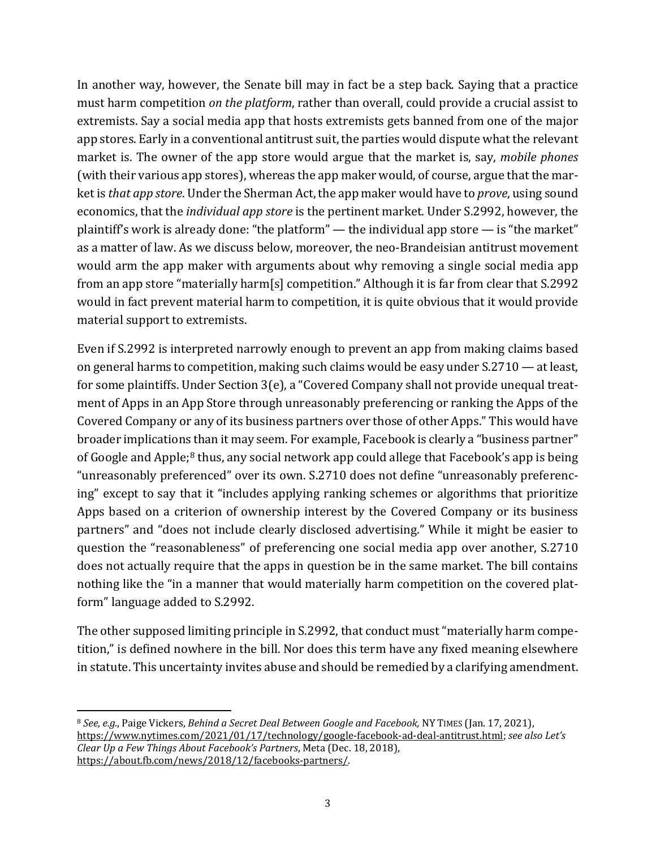In another way, however, the Senate bill may in fact be a step back. Saying that a practice must harm competition *on the platform*, rather than overall, could provide a crucial assist to extremists. Say a social media app that hosts extremists gets banned from one of the major app stores. Early in a conventional antitrust suit, the parties would dispute what the relevant market is. The owner of the app store would argue that the market is, say, *mobile phones* (with their various app stores), whereas the app maker would, of course, argue that the market is *that app store*. Under the Sherman Act, the app maker would have to *prove*, using sound economics, that the *individual app store* is the pertinent market. Under S.2992, however, the plaintiff's work is already done: "the platform" — the individual app store — is "the market" as a matter of law. As we discuss below, moreover, the neo-Brandeisian antitrust movement would arm the app maker with arguments about why removing a single social media app from an app store "materially harm[s] competition." Although it is far from clear that S.2992 would in fact prevent material harm to competition, it is quite obvious that it would provide material support to extremists.

Even if S.2992 is interpreted narrowly enough to prevent an app from making claims based on general harms to competition, making such claims would be easy under S.2710 — at least, for some plaintiffs. Under Section 3(e), a "Covered Company shall not provide unequal treatment of Apps in an App Store through unreasonably preferencing or ranking the Apps of the Covered Company or any of its business partners over those of other Apps." This would have broader implications than it may seem. For example, Facebook is clearly a "business partner" of Google and Apple;<sup>[8](#page-2-0)</sup> thus, any social network app could allege that Facebook's app is being "unreasonably preferenced" over its own. S.2710 does not define "unreasonably preferencing" except to say that it "includes applying ranking schemes or algorithms that prioritize Apps based on a criterion of ownership interest by the Covered Company or its business partners" and "does not include clearly disclosed advertising." While it might be easier to question the "reasonableness" of preferencing one social media app over another, S.2710 does not actually require that the apps in question be in the same market. The bill contains nothing like the "in a manner that would materially harm competition on the covered platform" language added to S.2992.

The other supposed limiting principle in S.2992, that conduct must "materially harm competition," is defined nowhere in the bill. Nor does this term have any fixed meaning elsewhere in statute. This uncertainty invites abuse and should be remedied by a clarifying amendment.

<span id="page-2-0"></span><sup>8</sup> *See, e.g.*, Paige Vickers, *Behind a Secret Deal Between Google and Facebook,* NY TIMES (Jan. 17, 2021), [https://www.nytimes.com/2021/01/17/technology/google-facebook-ad-deal-antitrust.html;](https://www.nytimes.com/2021/01/17/technology/google-facebook-ad-deal-antitrust.html) *see also Let's Clear Up a Few Things About Facebook's Partners*, Meta (Dec. 18, 2018), [https://about.fb.com/news/2018/12/facebooks-partners/.](https://about.fb.com/news/2018/12/facebooks-partners/)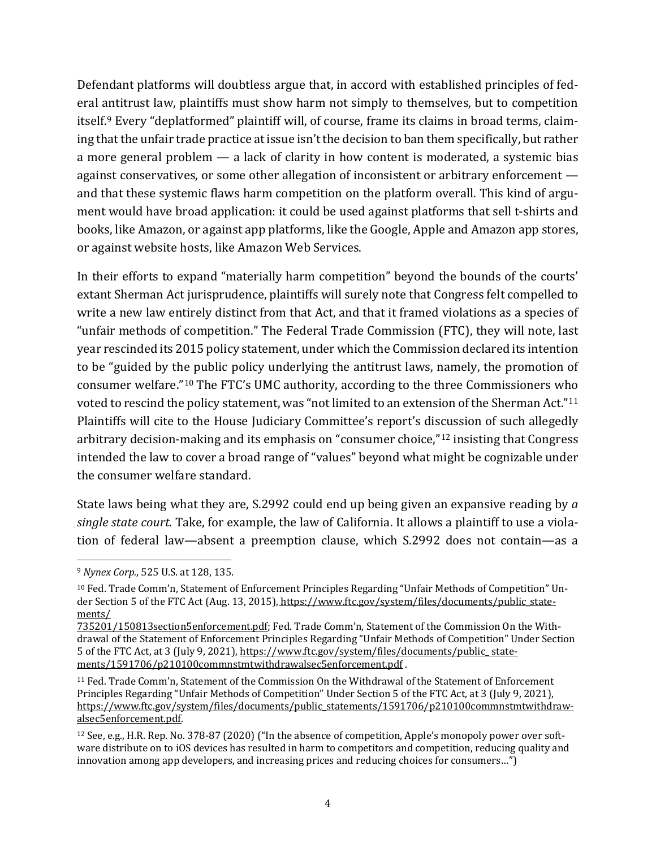Defendant platforms will doubtless argue that, in accord with established principles of federal antitrust law, plaintiffs must show harm not simply to themselves, but to competition itself.[9](#page-3-0) Every "deplatformed" plaintiff will, of course, frame its claims in broad terms, claiming that the unfair trade practice at issue isn't the decision to ban them specifically, but rather a more general problem — a lack of clarity in how content is moderated, a systemic bias against conservatives, or some other allegation of inconsistent or arbitrary enforcement and that these systemic flaws harm competition on the platform overall. This kind of argument would have broad application: it could be used against platforms that sell t-shirts and books, like Amazon, or against app platforms, like the Google, Apple and Amazon app stores, or against website hosts, like Amazon Web Services.

In their efforts to expand "materially harm competition" beyond the bounds of the courts' extant Sherman Act jurisprudence, plaintiffs will surely note that Congress felt compelled to write a new law entirely distinct from that Act, and that it framed violations as a species of "unfair methods of competition." The Federal Trade Commission (FTC), they will note, last year rescinded its 2015 policy statement, under which the Commission declared its intention to be "guided by the public policy underlying the antitrust laws, namely, the promotion of consumer welfare."[10](#page-3-1) The FTC's UMC authority, according to the three Commissioners who voted to rescind the policy statement, was "not limited to an extension of the Sherman Act."[11](#page-3-2) Plaintiffs will cite to the House Judiciary Committee's report's discussion of such allegedly arbitrary decision-making and its emphasis on "consumer choice,"[12](#page-3-3) insisting that Congress intended the law to cover a broad range of "values" beyond what might be cognizable under the consumer welfare standard.

State laws being what they are, S.2992 could end up being given an expansive reading by *a single state court*. Take, for example, the law of California. It allows a plaintiff to use a violation of federal law—absent a preemption clause, which S.2992 does not contain—as a

<span id="page-3-0"></span><sup>9</sup> *Nynex Corp.*, 525 U.S. at 128, 135.

<span id="page-3-1"></span><sup>10</sup> Fed. Trade Comm'n, Statement of Enforcement Principles Regarding "Unfair Methods of Competition" Under Section 5 of the FTC Act (Aug. 13, 2015), [https://www.ftc.gov/system/files/documents/public\\_state](https://www.ftc.gov/system/files/documents/public_statements/735201/150813section5enforcement.pdf)ments/

[<sup>735201/150813</sup>section5enforcement.pdf;](https://www.ftc.gov/system/files/documents/public_statements/735201/150813section5enforcement.pdf) Fed. Trade Comm'n, Statement of the Commission On the Withdrawal of the Statement of Enforcement Principles Regarding "Unfair Methods of Competition" Under Section 5 of the FTC Act, at 3 (July 9, 2021), [https://www.ftc.gov/system/files/documents/public\\_ state](https://www.ftc.gov/system/files/documents/public_%20statements/1591706/p210100commnstmtwithdrawalsec5enforcement.pdf)[ments/1591706/p210100commnstmtwithdrawalsec5enforcement.pdf](https://www.ftc.gov/system/files/documents/public_%20statements/1591706/p210100commnstmtwithdrawalsec5enforcement.pdf) .

<span id="page-3-2"></span><sup>11</sup> Fed. Trade Comm'n, Statement of the Commission On the Withdrawal of the Statement of Enforcement Principles Regarding "Unfair Methods of Competition" Under Section 5 of the FTC Act, at 3 (July 9, 2021), [https://www.ftc.gov/system/files/documents/public\\_statements/1591706/p210100commnstmtwithdraw](https://www.ftc.gov/system/files/documents/public_statements/1591706/p210100commnstmtwithdrawalsec5enforcement.pdf)[alsec5enforcement.pdf.](https://www.ftc.gov/system/files/documents/public_statements/1591706/p210100commnstmtwithdrawalsec5enforcement.pdf)

<span id="page-3-3"></span><sup>12</sup> See, e.g., H.R. Rep. No. 378-87 (2020) ("In the absence of competition, Apple's monopoly power over software distribute on to iOS devices has resulted in harm to competitors and competition, reducing quality and innovation among app developers, and increasing prices and reducing choices for consumers…")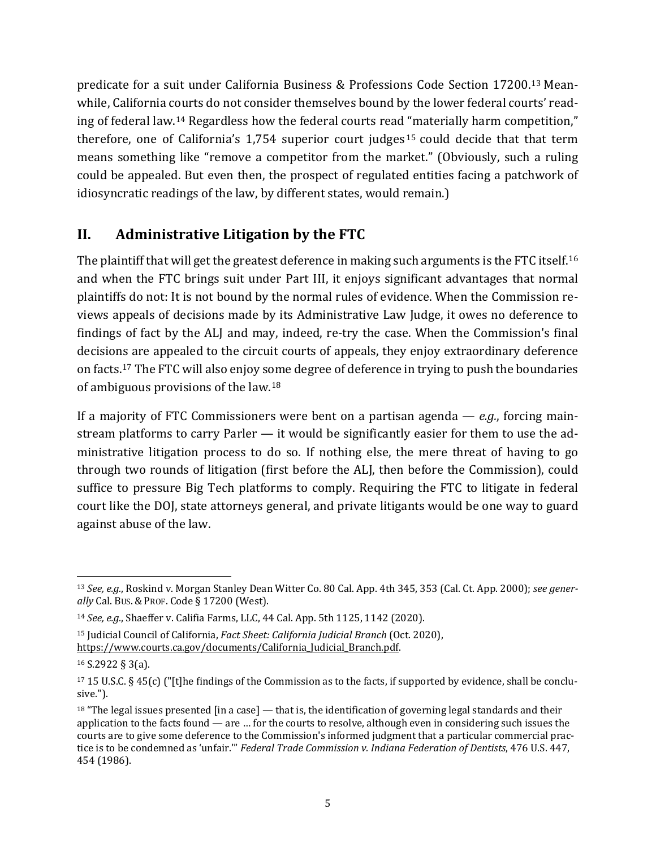predicate for a suit under California Business & Professions Code Section 17200.[13](#page-4-0) Meanwhile, California courts do not consider themselves bound by the lower federal courts' reading of federal law.[14](#page-4-1) Regardless how the federal courts read "materially harm competition," therefore, one of California's 1,754 superior court judges [15](#page-4-2) could decide that that term means something like "remove a competitor from the market." (Obviously, such a ruling could be appealed. But even then, the prospect of regulated entities facing a patchwork of idiosyncratic readings of the law, by different states, would remain.)

### **II. Administrative Litigation by the FTC**

The plaintiff that will get the greatest deference in making such arguments is the FTC itself.<sup>[16](#page-4-3)</sup> and when the FTC brings suit under Part III, it enjoys significant advantages that normal plaintiffs do not: It is not bound by the normal rules of evidence. When the Commission reviews appeals of decisions made by its Administrative Law Judge, it owes no deference to findings of fact by the ALJ and may, indeed, re-try the case. When the Commission's final decisions are appealed to the circuit courts of appeals, they enjoy extraordinary deference on facts.[17](#page-4-4) The FTC will also enjoy some degree of deference in trying to push the boundaries of ambiguous provisions of the law.[18](#page-4-5)

If a majority of FTC Commissioners were bent on a partisan agenda — *e.g.*, forcing mainstream platforms to carry Parler — it would be significantly easier for them to use the administrative litigation process to do so. If nothing else, the mere threat of having to go through two rounds of litigation (first before the ALJ, then before the Commission), could suffice to pressure Big Tech platforms to comply. Requiring the FTC to litigate in federal court like the DOJ, state attorneys general, and private litigants would be one way to guard against abuse of the law.

<span id="page-4-0"></span><sup>13</sup> *See, e.g.*, Roskind v. Morgan Stanley Dean Witter Co. 80 Cal. App. 4th 345, 353 (Cal. Ct. App. 2000); *see generally* Cal. BUS. & PROF. Code § 17200 (West).

<span id="page-4-1"></span><sup>14</sup> *See, e.g.*, Shaeffer v. Califia Farms, LLC, 44 Cal. App. 5th 1125, 1142 (2020).

<span id="page-4-2"></span><sup>15</sup> Judicial Council of California, *Fact Sheet: California Judicial Branch* (Oct. 2020), [https://www.courts.ca.gov/documents/California\\_Judicial\\_Branch.pdf.](https://www.courts.ca.gov/documents/California_Judicial_Branch.pdf) 

<span id="page-4-3"></span><sup>16</sup> S.2922 § 3(a).

<span id="page-4-4"></span><sup>17</sup> 15 U.S.C. § 45(c) ("[t]he findings of the Commission as to the facts, if supported by evidence, shall be conclusive.").

<span id="page-4-5"></span> $18$  "The legal issues presented [in a case] — that is, the identification of governing legal standards and their application to the facts found — are … for the courts to resolve, although even in considering such issues the courts are to give some deference to the Commission's informed judgment that a particular commercial practice is to be condemned as 'unfair.'" *Federal Trade Commission v. Indiana Federation of Dentists*, 476 U.S. 447, 454 (1986).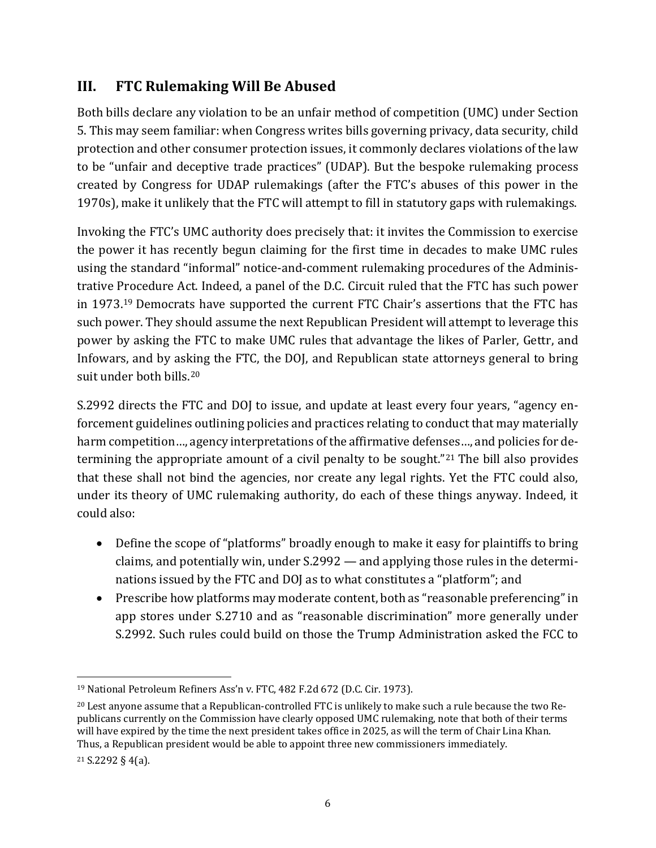### **III. FTC Rulemaking Will Be Abused**

Both bills declare any violation to be an unfair method of competition (UMC) under Section 5. This may seem familiar: when Congress writes bills governing privacy, data security, child protection and other consumer protection issues, it commonly declares violations of the law to be "unfair and deceptive trade practices" (UDAP). But the bespoke rulemaking process created by Congress for UDAP rulemakings (after the FTC's abuses of this power in the 1970s), make it unlikely that the FTC will attempt to fill in statutory gaps with rulemakings.

Invoking the FTC's UMC authority does precisely that: it invites the Commission to exercise the power it has recently begun claiming for the first time in decades to make UMC rules using the standard "informal" notice-and-comment rulemaking procedures of the Administrative Procedure Act. Indeed, a panel of the D.C. Circuit ruled that the FTC has such power in 1973.[19](#page-5-0) Democrats have supported the current FTC Chair's assertions that the FTC has such power. They should assume the next Republican President will attempt to leverage this power by asking the FTC to make UMC rules that advantage the likes of Parler, Gettr, and Infowars, and by asking the FTC, the DOJ, and Republican state attorneys general to bring suit under both bills.[20](#page-5-1)

S.2992 directs the FTC and DOJ to issue, and update at least every four years, "agency enforcement guidelines outlining policies and practices relating to conduct that may materially harm competition..., agency interpretations of the affirmative defenses..., and policies for determining the appropriate amount of a civil penalty to be sought."[21](#page-5-2) The bill also provides that these shall not bind the agencies, nor create any legal rights. Yet the FTC could also, under its theory of UMC rulemaking authority, do each of these things anyway. Indeed, it could also:

- Define the scope of "platforms" broadly enough to make it easy for plaintiffs to bring claims, and potentially win, under S.2992 — and applying those rules in the determinations issued by the FTC and DOJ as to what constitutes a "platform"; and
- Prescribe how platforms may moderate content, both as "reasonable preferencing" in app stores under S.2710 and as "reasonable discrimination" more generally under S.2992. Such rules could build on those the Trump Administration asked the FCC to

<span id="page-5-0"></span><sup>19</sup> National Petroleum Refiners Ass'n v. FTC, 482 F.2d 672 (D.C. Cir. 1973).

<span id="page-5-1"></span><sup>&</sup>lt;sup>20</sup> Lest anyone assume that a Republican-controlled FTC is unlikely to make such a rule because the two Republicans currently on the Commission have clearly opposed UMC rulemaking, note that both of their terms will have expired by the time the next president takes office in 2025, as will the term of Chair Lina Khan. Thus, a Republican president would be able to appoint three new commissioners immediately.

<span id="page-5-2"></span><sup>21</sup> S.2292 § 4(a).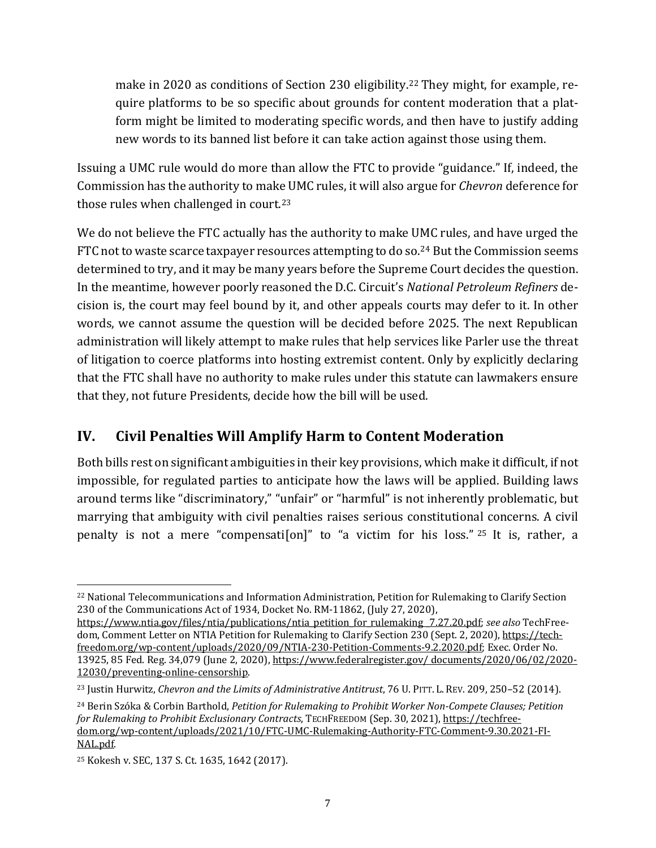make in 2020 as conditions of Section 230 eligibility. [22](#page-6-0) They might, for example, require platforms to be so specific about grounds for content moderation that a platform might be limited to moderating specific words, and then have to justify adding new words to its banned list before it can take action against those using them.

Issuing a UMC rule would do more than allow the FTC to provide "guidance." If, indeed, the Commission has the authority to make UMC rules, it will also argue for *Chevron* deference for those rules when challenged in court.<sup>[23](#page-6-1)</sup>

We do not believe the FTC actually has the authority to make UMC rules, and have urged the FTC not to waste scarce taxpayer resources attempting to do so.<sup>[24](#page-6-2)</sup> But the Commission seems determined to try, and it may be many years before the Supreme Court decides the question. In the meantime, however poorly reasoned the D.C. Circuit's *National Petroleum Refiners* decision is, the court may feel bound by it, and other appeals courts may defer to it. In other words, we cannot assume the question will be decided before 2025. The next Republican administration will likely attempt to make rules that help services like Parler use the threat of litigation to coerce platforms into hosting extremist content. Only by explicitly declaring that the FTC shall have no authority to make rules under this statute can lawmakers ensure that they, not future Presidents, decide how the bill will be used.

### **IV. Civil Penalties Will Amplify Harm to Content Moderation**

Both bills rest on significant ambiguities in their key provisions, which make it difficult, if not impossible, for regulated parties to anticipate how the laws will be applied. Building laws around terms like "discriminatory," "unfair" or "harmful" is not inherently problematic, but marrying that ambiguity with civil penalties raises serious constitutional concerns. A civil penalty is not a mere "compensati[on]" to "a victim for his loss." <sup>[25](#page-6-3)</sup> It is, rather, a

<span id="page-6-0"></span><sup>22</sup> National Telecommunications and Information Administration, Petition for Rulemaking to Clarify Section 230 of the Communications Act of 1934, Docket No. RM-11862, (July 27, 2020),

[https://www.ntia.gov/files/ntia/publications/ntia\\_petition\\_for\\_rulemaking \\_7.27.20.pdf;](https://www.ntia.gov/files/ntia/publications/ntia_petition_for_rulemaking%20_7.27.20.pdf) *see also* TechFreedom, Comment Letter on NTIA Petition for Rulemaking to Clarify Section 230 (Sept. 2, 2020), [https://tech](https://techfreedom.org/wp-content/uploads/2020/09/NTIA-230-Petition-Comments-9.2.2020.pdf)[freedom.org/wp-content/uploads/2020/09/NTIA-230-Petition-Comments-9.2.2020.pdf;](https://techfreedom.org/wp-content/uploads/2020/09/NTIA-230-Petition-Comments-9.2.2020.pdf) Exec. Order No. 13925, 85 Fed. Reg. 34,079 (June 2, 2020)[, https://www.federalregister.gov/ documents/2020/06/02/2020-](https://www.federalregister.gov/%20documents/2020/06/02/2020-12030/preventing-online-censorship) [12030/preventing-online-censorship.](https://www.federalregister.gov/%20documents/2020/06/02/2020-12030/preventing-online-censorship) 

<span id="page-6-1"></span><sup>23</sup> Justin Hurwitz, *Chevron and the Limits of Administrative Antitrust*, 76 U. PITT. L. REV. 209, 250–52 (2014).

<span id="page-6-2"></span><sup>24</sup> Berin Szóka & Corbin Barthold, *Petition for Rulemaking to Prohibit Worker Non-Compete Clauses; Petition for Rulemaking to Prohibit Exclusionary Contracts*, TECHFREEDOM (Sep. 30, 2021), [https://techfree](https://techfreedom.org/wp-content/uploads/2021/10/FTC-UMC-Rulemaking-Authority-FTC-Comment-9.30.2021-FINAL.pdf)[dom.org/wp-content/uploads/2021/10/FTC-UMC-Rulemaking-Authority-FTC-Comment-9.30.2021-FI-](https://techfreedom.org/wp-content/uploads/2021/10/FTC-UMC-Rulemaking-Authority-FTC-Comment-9.30.2021-FINAL.pdf)[NAL.pdf.](https://techfreedom.org/wp-content/uploads/2021/10/FTC-UMC-Rulemaking-Authority-FTC-Comment-9.30.2021-FINAL.pdf) 

<span id="page-6-3"></span><sup>25</sup> Kokesh v. SEC, 137 S. Ct. 1635, 1642 (2017).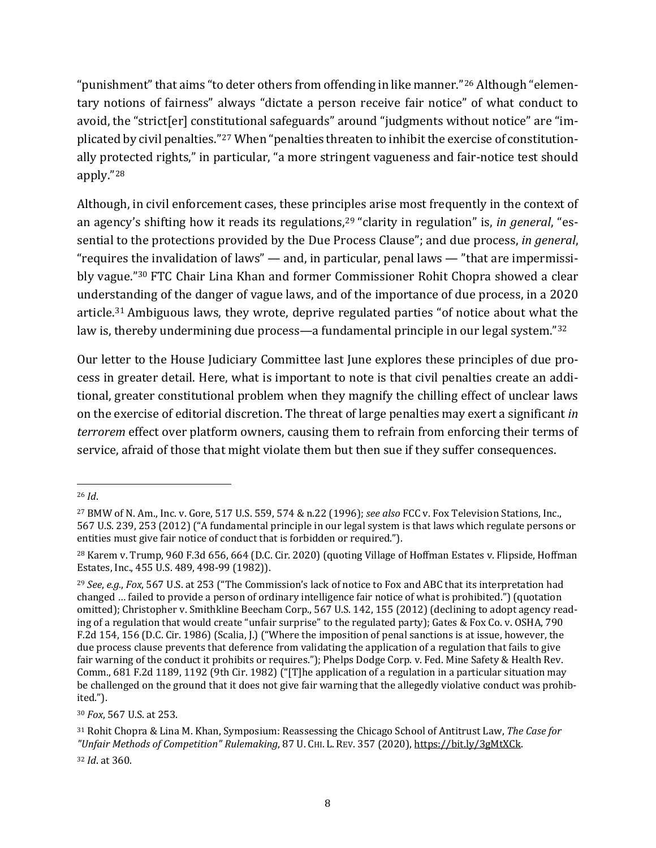"punishment" that aims "to deter others from offending in like manner."[26](#page-7-0) Although "elementary notions of fairness" always "dictate a person receive fair notice" of what conduct to avoid, the "strict[er] constitutional safeguards" around "judgments without notice" are "implicated by civil penalties."[27](#page-7-1) When "penalties threaten to inhibit the exercise of constitutionally protected rights," in particular, "a more stringent vagueness and fair-notice test should apply."[28](#page-7-2)

Although, in civil enforcement cases, these principles arise most frequently in the context of an agency's shifting how it reads its regulations,<sup>29</sup> "clarity in regulation" is, *in general*, "essential to the protections provided by the Due Process Clause"; and due process, *in general*, "requires the invalidation of laws" — and, in particular, penal laws — "that are impermissibly vague."[30](#page-7-4) FTC Chair Lina Khan and former Commissioner Rohit Chopra showed a clear understanding of the danger of vague laws, and of the importance of due process, in a 2020 article.[31](#page-7-5) Ambiguous laws, they wrote, deprive regulated parties "of notice about what the law is, thereby undermining due process—a fundamental principle in our legal system."<sup>[32](#page-7-6)</sup>

Our letter to the House Judiciary Committee last June explores these principles of due process in greater detail. Here, what is important to note is that civil penalties create an additional, greater constitutional problem when they magnify the chilling effect of unclear laws on the exercise of editorial discretion. The threat of large penalties may exert a significant *in terrorem* effect over platform owners, causing them to refrain from enforcing their terms of service, afraid of those that might violate them but then sue if they suffer consequences.

<span id="page-7-0"></span><sup>26</sup> *Id*.

<span id="page-7-1"></span><sup>27</sup> BMW of N. Am., Inc. v. Gore, 517 U.S. 559, 574 & n.22 (1996); *see also* FCC v. Fox Television Stations, Inc., 567 U.S. 239, 253 (2012) ("A fundamental principle in our legal system is that laws which regulate persons or entities must give fair notice of conduct that is forbidden or required.").

<span id="page-7-2"></span><sup>28</sup> Karem v. Trump, 960 F.3d 656, 664 (D.C. Cir. 2020) (quoting Village of Hoffman Estates v. Flipside, Hoffman Estates, Inc., 455 U.S. 489, 498-99 (1982)).

<span id="page-7-3"></span><sup>29</sup> *See*, *e.g.*, *Fox*, 567 U.S. at 253 ("The Commission's lack of notice to Fox and ABC that its interpretation had changed … failed to provide a person of ordinary intelligence fair notice of what is prohibited.") (quotation omitted); Christopher v. Smithkline Beecham Corp., 567 U.S. 142, 155 (2012) (declining to adopt agency reading of a regulation that would create "unfair surprise" to the regulated party); Gates & Fox Co. v. OSHA, 790 F.2d 154, 156 (D.C. Cir. 1986) (Scalia, J.) ("Where the imposition of penal sanctions is at issue, however, the due process clause prevents that deference from validating the application of a regulation that fails to give fair warning of the conduct it prohibits or requires."); Phelps Dodge Corp. v. Fed. Mine Safety & Health Rev. Comm., 681 F.2d 1189, 1192 (9th Cir. 1982) ("[T]he application of a regulation in a particular situation may be challenged on the ground that it does not give fair warning that the allegedly violative conduct was prohibited.").

<span id="page-7-4"></span><sup>30</sup> *Fox*, 567 U.S. at 253.

<span id="page-7-5"></span><sup>31</sup> Rohit Chopra & Lina M. Khan, Symposium: Reassessing the Chicago School of Antitrust Law, *The Case for "Unfair Methods of Competition" Rulemaking*, 87 U. CHI. L. REV. 357 (2020), [https://bit.ly/3gMtXCk.](https://bit.ly/3gMtXCk)

<span id="page-7-6"></span><sup>32</sup> *Id*. at 360.